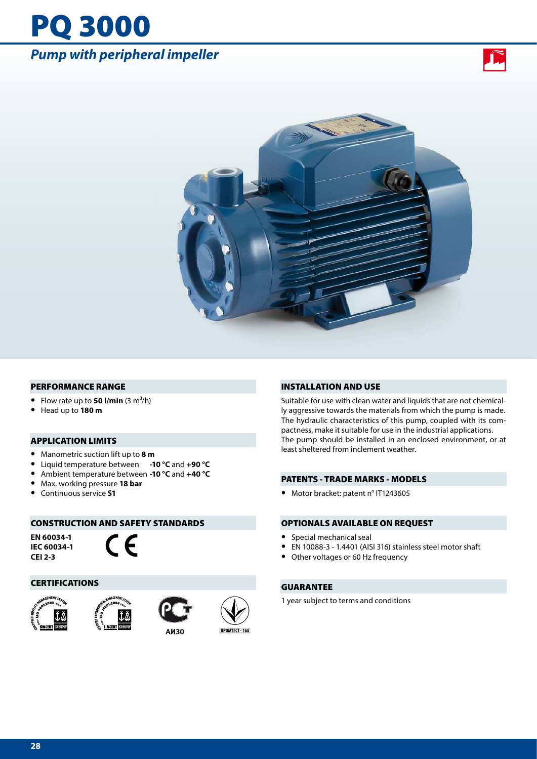## PQ 3000 *Pump with peripheral impeller*





#### PERFORMANCE RANGE

- Flow rate up to **50 l/min**  $(3 \text{ m}^3/\text{h})$
- **•** Head up to **180 m**

#### APPLICATION LIMITS

- **•** Manometric suction lift up to **8 m**
- **•** Liquid temperature between **-10 °C** and **+90 °C**
- **•** Ambient temperature between **-10 °C** and **+40 °C**
- **•** Max. working pressure **18 bar**
- **•** Continuous service **S1**

#### CONSTRUCTION AND SAFETY STANDARDS

**EN 60034-1 IEC 60034-1 CEI 2-3**



#### **CERTIFICATIONS**









**ПРОМТЕСТ - 168** 

#### INSTALLATION AND USE

Suitable for use with clean water and liquids that are not chemically aggressive towards the materials from which the pump is made. The hydraulic characteristics of this pump, coupled with its compactness, make it suitable for use in the industrial applications. The pump should be installed in an enclosed environment, or at least sheltered from inclement weather.

#### PATENTS - TRADE MARKS - MODELS

**•** Motor bracket: patent n° IT1243605

#### OPTIONALS AVAILABLE ON REQUEST

- **•** Special mechanical seal
- **•** EN 10088-3 1.4401 (AISI 316) stainless steel motor shaft
- **•** Other voltages or 60 Hz frequency

#### GUARANTEE

1 year subject to terms and conditions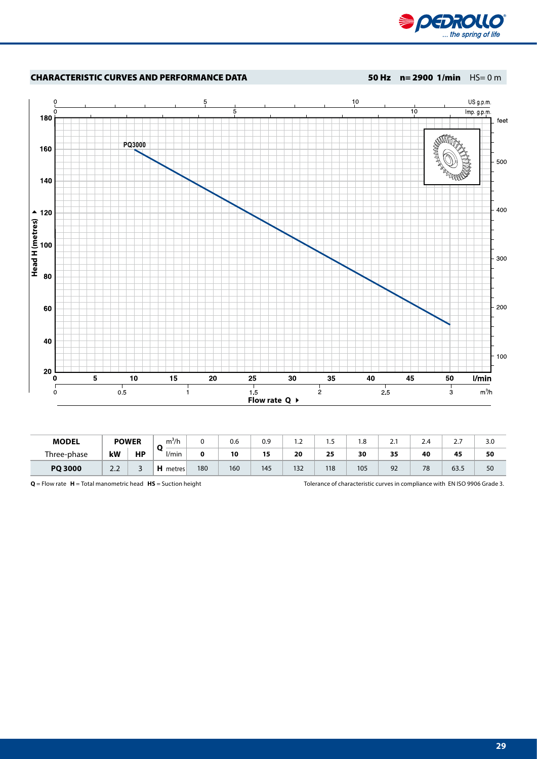



| <b>MODEL</b>   | <b>POWER</b>                         |           | 3/1<br>m'/h<br>n |     | 0.6 | 0.9 | ے ، | כ. ו | 1.8 | ـ. | -<br>2.4 | <u>,</u>       | 3.0 |
|----------------|--------------------------------------|-----------|------------------|-----|-----|-----|-----|------|-----|----|----------|----------------|-----|
| Three-phase    | kW                                   | <b>HP</b> | l/min            |     | 10  | 15  | 20  | 25   | 30  | 35 | 40       | 45             | 50  |
| <b>PQ 3000</b> | ר ר<br>$\mathcal{L}$ . $\mathcal{L}$ | ັ         | metres           | 180 | 160 | 145 | 132 | 118  | 105 | 92 | 78       | $\sim$<br>63.5 | 50  |

**Q** = Flow rate **H** = Total manometric head **HS** = Suction height Tolerance of characteristic curves in compliance with EN ISO 9906 Grade 3.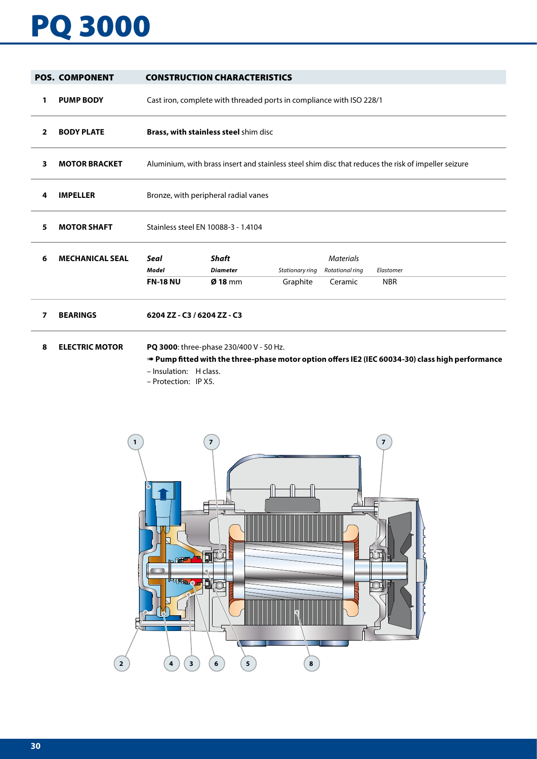# PQ 3000

|    | <b>POS. COMPONENT</b>  |                                                                                                      | <b>CONSTRUCTION CHARACTERISTICS</b>            |                             |                                                |                         |  |  |  |  |  |  |
|----|------------------------|------------------------------------------------------------------------------------------------------|------------------------------------------------|-----------------------------|------------------------------------------------|-------------------------|--|--|--|--|--|--|
| 1  | <b>PUMP BODY</b>       | Cast iron, complete with threaded ports in compliance with ISO 228/1                                 |                                                |                             |                                                |                         |  |  |  |  |  |  |
| 2  | <b>BODY PLATE</b>      |                                                                                                      | Brass, with stainless steel shim disc          |                             |                                                |                         |  |  |  |  |  |  |
| 3  | <b>MOTOR BRACKET</b>   | Aluminium, with brass insert and stainless steel shim disc that reduces the risk of impeller seizure |                                                |                             |                                                |                         |  |  |  |  |  |  |
| 4  | <b>IMPELLER</b>        | Bronze, with peripheral radial vanes                                                                 |                                                |                             |                                                |                         |  |  |  |  |  |  |
| 5. | <b>MOTOR SHAFT</b>     | Stainless steel EN 10088-3 - 1.4104                                                                  |                                                |                             |                                                |                         |  |  |  |  |  |  |
| 6  | <b>MECHANICAL SEAL</b> | Seal<br>Model<br><b>FN-18 NU</b>                                                                     | <b>Shaft</b><br><b>Diameter</b><br>$Ø$ 18 mm   | Stationary ring<br>Graphite | <b>Materials</b><br>Rotational ring<br>Ceramic | Elastomer<br><b>NBR</b> |  |  |  |  |  |  |
| 7  | <b>BEARINGS</b>        | 6204 ZZ - C3 / 6204 ZZ - C3                                                                          |                                                |                             |                                                |                         |  |  |  |  |  |  |
| 8  | <b>ELECTRIC MOTOR</b>  |                                                                                                      | <b>PQ 3000:</b> three-phase 230/400 V - 50 Hz. |                             |                                                |                         |  |  |  |  |  |  |

➠ **Pump fitted with the three-phase motor option offers IE2 (IEC 60034-30) class high performance** – Insulation: H class.

– Protection: IP X5.